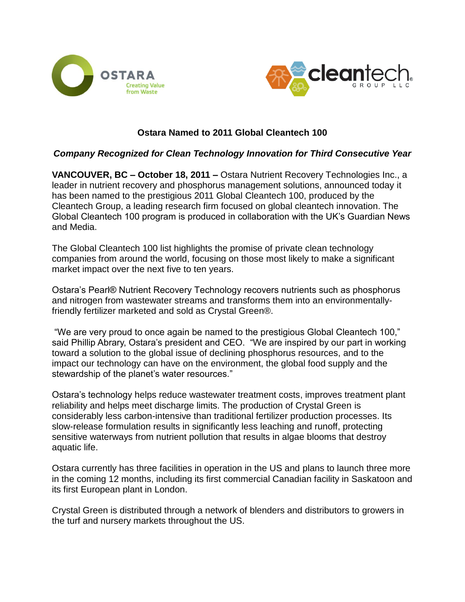



# **Ostara Named to 2011 Global Cleantech 100**

### *Company Recognized for Clean Technology Innovation for Third Consecutive Year*

**VANCOUVER, BC – October 18, 2011 –** Ostara Nutrient Recovery Technologies Inc., a leader in nutrient recovery and phosphorus management solutions, announced today it has been named to the prestigious 2011 Global Cleantech 100, produced by the Cleantech Group, a leading research firm focused on global cleantech innovation. The Global Cleantech 100 program is produced in collaboration with the UK's Guardian News and Media.

The Global Cleantech 100 list highlights the promise of private clean technology companies from around the world, focusing on those most likely to make a significant market impact over the next five to ten years.

Ostara's Pearl® Nutrient Recovery Technology recovers nutrients such as phosphorus and nitrogen from wastewater streams and transforms them into an environmentallyfriendly fertilizer marketed and sold as Crystal Green®.

"We are very proud to once again be named to the prestigious Global Cleantech 100," said Phillip Abrary, Ostara's president and CEO. "We are inspired by our part in working toward a solution to the global issue of declining phosphorus resources, and to the impact our technology can have on the environment, the global food supply and the stewardship of the planet's water resources."

Ostara's technology helps reduce wastewater treatment costs, improves treatment plant reliability and helps meet discharge limits. The production of Crystal Green is considerably less carbon-intensive than traditional fertilizer production processes. Its slow-release formulation results in significantly less leaching and runoff, protecting sensitive waterways from nutrient pollution that results in algae blooms that destroy aquatic life.

Ostara currently has three facilities in operation in the US and plans to launch three more in the coming 12 months, including its first commercial Canadian facility in Saskatoon and its first European plant in London.

Crystal Green is distributed through a network of blenders and distributors to growers in the turf and nursery markets throughout the US.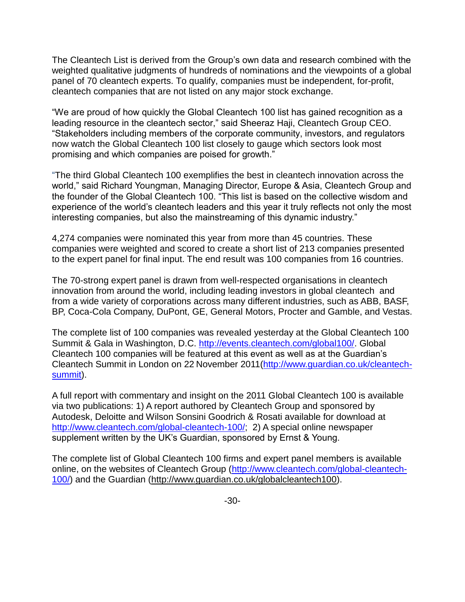The Cleantech List is derived from the Group's own data and research combined with the weighted qualitative judgments of hundreds of nominations and the viewpoints of a global panel of 70 cleantech experts. To qualify, companies must be independent, for-profit, cleantech companies that are not listed on any major stock exchange.

"We are proud of how quickly the Global Cleantech 100 list has gained recognition as a leading resource in the cleantech sector," said Sheeraz Haji, Cleantech Group CEO. "Stakeholders including members of the corporate community, investors, and regulators now watch the Global Cleantech 100 list closely to gauge which sectors look most promising and which companies are poised for growth."

"The third Global Cleantech 100 exemplifies the best in cleantech innovation across the world," said Richard Youngman, Managing Director, Europe & Asia, Cleantech Group and the founder of the Global Cleantech 100. "This list is based on the collective wisdom and experience of the world's cleantech leaders and this year it truly reflects not only the most interesting companies, but also the mainstreaming of this dynamic industry."

4,274 companies were nominated this year from more than 45 countries. These companies were weighted and scored to create a short list of 213 companies presented to the expert panel for final input. The end result was 100 companies from 16 countries.

The 70-strong expert panel is drawn from well-respected organisations in cleantech innovation from around the world, including leading investors in global cleantech and from a wide variety of corporations across many different industries, such as ABB, BASF, BP, Coca-Cola Company, DuPont, GE, General Motors, Procter and Gamble, and Vestas.

The complete list of 100 companies was revealed yesterday at the Global Cleantech 100 Summit & Gala in Washington, D.C. [http://events.cleantech.com/global100/.](http://events.cleantech.com/global100/) Global Cleantech 100 companies will be featured at this event as well as at the Guardian's Cleantech Summit in London on 22 November 2011[\(http://www.guardian.co.uk/cleantech](http://www.guardian.co.uk/cleantech-summit)[summit\)](http://www.guardian.co.uk/cleantech-summit).

A full report with commentary and insight on the 2011 Global Cleantech 100 is available via two publications: 1) A report authored by Cleantech Group and sponsored by Autodesk, Deloitte and Wilson Sonsini Goodrich & Rosati available for download at [http://www.cleantech.com/global-cleantech-100/;](http://www.cleantech.com/global-cleantech-100/) 2) A special online newspaper supplement written by the UK's Guardian, sponsored by Ernst & Young.

The complete list of Global Cleantech 100 firms and expert panel members is available online, on the websites of Cleantech Group [\(http://www.cleantech.com/global-cleantech-](http://www.cleantech.com/global-cleantech-100/)[100/\)](http://www.cleantech.com/global-cleantech-100/) and the Guardian [\(http://www.guardian.co.uk/globalcleantech100\)](http://www.guardian.co.uk/globalcleantech100).